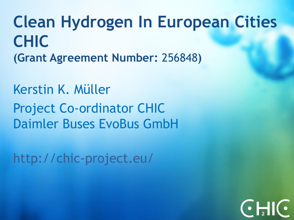**Clean Hydrogen In European Cities CHIC (Grant Agreement Number:** 256848**)**

Kerstin K. Müller Project Co-ordinator CHIC Daimler Buses EvoBus GmbH

http://chic-project.eu/

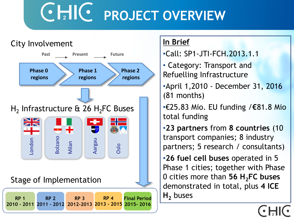# **CHIC PROJECT OVERVIEW**



#### **In Brief**

- •Call: SP1-JTI-FCH.2013.1.1
- Category: Transport and Refuelling Infrastructure
- •April 1,2010 December 31, 2016 (81 months)
- •€25.83 Mio. EU funding /**€**81.8 Mio total funding
- •**23 partners** from **8 countries** (10 transport companies; 8 industry partners; 5 research / consultants)
- •**26 fuel cell buses** operated in 5 Phase 1 cities; together with Phase 0 cities more than **56 H2FC buses**  demonstrated in total, plus **4 ICE**   $H_2$  buses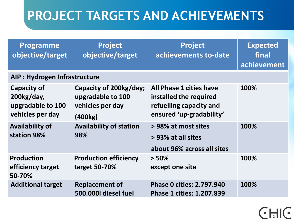# **PROJECT TARGETS AND ACHIEVEMENTS**

| <b>Programme</b><br>objective/target                                  | <b>Project</b><br>objective/target                                         | <b>Project</b><br>achievements to-date                                                                   | <b>Expected</b><br>final<br>achievement |
|-----------------------------------------------------------------------|----------------------------------------------------------------------------|----------------------------------------------------------------------------------------------------------|-----------------------------------------|
| AIP : Hydrogen Infrastructure                                         |                                                                            |                                                                                                          |                                         |
| Capacity of<br>$200$ kg/day,<br>upgradable to 100<br>vehicles per day | Capacity of 200kg/day;<br>upgradable to 100<br>vehicles per day<br>(400kg) | All Phase 1 cities have<br>installed the required<br>refuelling capacity and<br>ensured 'up-gradability' | 100%                                    |
| <b>Availability of</b><br>station 98%                                 | <b>Availability of station</b><br>98%                                      | > 98% at most sites<br>> 93% at all sites<br>about 96% across all sites                                  | 100%                                    |
| <b>Production</b><br>efficiency target<br>50-70%                      | <b>Production efficiency</b><br>target 50-70%                              | $> 50\%$<br>except one site                                                                              | 100%                                    |
| <b>Additional target</b>                                              | <b>Replacement of</b><br>500.000 diesel fuel                               | <b>Phase 0 cities: 2.797.940</b><br><b>Phase 1 cities: 1.207.839</b>                                     | 100%                                    |

 $\left( \cdot \right)$ 

 $\overline{\mathbf{C}}$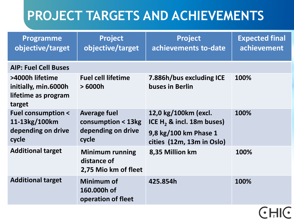# **PROJECT TARGETS AND ACHIEVEMENTS**

| <b>Programme</b><br>objective/target                                         | <b>Project</b><br>objective/target                                       | <b>Project</b><br>achievements to-date                                                                              | <b>Expected final</b><br>achievement |
|------------------------------------------------------------------------------|--------------------------------------------------------------------------|---------------------------------------------------------------------------------------------------------------------|--------------------------------------|
| <b>AIP: Fuel Cell Buses</b>                                                  |                                                                          |                                                                                                                     |                                      |
| >4000h lifetime<br>initially, min.6000h<br>lifetime as program<br>target     | <b>Fuel cell lifetime</b><br>>6000h                                      | 7.886h/bus excluding ICE<br>buses in Berlin                                                                         | 100%                                 |
| <b>Fuel consumption &lt;</b><br>11-13kg/100km<br>depending on drive<br>cycle | <b>Average fuel</b><br>consumption < 13kg<br>depending on drive<br>cycle | 12,0 kg/100km (excl.<br>ICE H <sub>2</sub> & incl. 18m buses)<br>9,8 kg/100 km Phase 1<br>cities (12m, 13m in Oslo) | 100%                                 |
| <b>Additional target</b>                                                     | <b>Minimum running</b><br>distance of<br>2,75 Mio km of fleet            | 8,35 Million km                                                                                                     | 100%                                 |
| <b>Additional target</b>                                                     | Minimum of<br>160.000h of<br>operation of fleet                          | 425.854h                                                                                                            | 100%                                 |
|                                                                              |                                                                          |                                                                                                                     | $\sim$                               |

 $C$   $\overline{d}$ 

 $\bullet$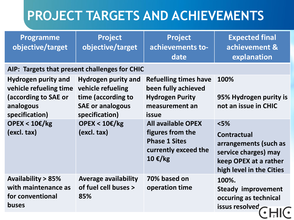# **PROJECT TARGETS AND ACHIEVEMENTS**

| <b>Programme</b><br>objective/target                                                                        | Project<br>objective/target                                                                                        | Project<br>achievements to-<br>date                                                                               | <b>Expected final</b><br>achievement &<br>explanation                                                                              |
|-------------------------------------------------------------------------------------------------------------|--------------------------------------------------------------------------------------------------------------------|-------------------------------------------------------------------------------------------------------------------|------------------------------------------------------------------------------------------------------------------------------------|
| AIP: Targets that present challenges for CHIC                                                               |                                                                                                                    |                                                                                                                   |                                                                                                                                    |
| <b>Hydrogen purity and</b><br>vehicle refueling time<br>(according to SAE or<br>analogous<br>specification) | <b>Hydrogen purity and</b><br>vehicle refueling<br>time (according to<br><b>SAE or analogous</b><br>specification) | <b>Refuelling times have</b><br>been fully achieved<br><b>Hydrogen Purity</b><br>measurement an<br><b>issue</b>   | 100%<br>95% Hydrogen purity is<br>not an issue in CHIC                                                                             |
| <b>OPEX &lt; 10€/kg</b><br>(excl. tax)                                                                      | <b>OPEX &lt; 10€/kg</b><br>(excl. tax)                                                                             | <b>All available OPEX</b><br>figures from the<br><b>Phase 1 Sites</b><br>currently exceed the<br>$10 \text{€/kg}$ | $<$ 5%<br><b>Contractual</b><br>arrangements (such as<br>service charges) may<br>keep OPEX at a rather<br>high level in the Cities |
| <b>Availability &gt; 85%</b><br>with maintenance as<br>for conventional<br><b>buses</b>                     | <b>Average availability</b><br>of fuel cell buses ><br>85%                                                         | 70% based on<br>operation time                                                                                    | 100%.<br><b>Steady improvement</b><br>occuring as technical<br>issus resolved,                                                     |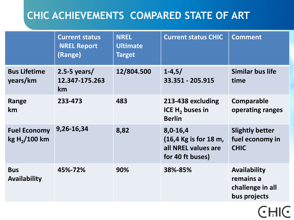### **CHIC ACHIEVEMENTS COMPARED STATE OF ART**

|                                          | <b>Current status</b><br><b>NREL Report</b><br>(Range) | <b>NREL</b><br><b>Ultimate</b><br><b>Target</b> | <b>Current status CHIC</b>                                                                       | <b>Comment</b>                                                |
|------------------------------------------|--------------------------------------------------------|-------------------------------------------------|--------------------------------------------------------------------------------------------------|---------------------------------------------------------------|
| <b>Bus Lifetime</b><br>years/km          | $2.5 - 5$ years/<br>12.347-175.263<br>km               | 12/804.500                                      | $1 - 4, 5/$<br>33.351 - 205.915                                                                  | <b>Similar bus life</b><br>time                               |
| Range<br>km                              | 233-473                                                | 483                                             | 213-438 excluding<br>ICE H <sub>2</sub> buses in<br><b>Berlin</b>                                | Comparable<br>operating ranges                                |
| <b>Fuel Economy</b><br>$kg H_2 / 100 km$ | 9,26-16,34                                             | 8,82                                            | 8,0-16,4<br>$(16, 4 \text{ Kg is for } 18 \text{ m})$<br>all NREL values are<br>for 40 ft buses) | <b>Slightly better</b><br>fuel economy in<br><b>CHIC</b>      |
| <b>Bus</b><br><b>Availability</b>        | 45%-72%                                                | 90%                                             | 38%-85%                                                                                          | Availability<br>remains a<br>challenge in all<br>bus projects |

**CHIC**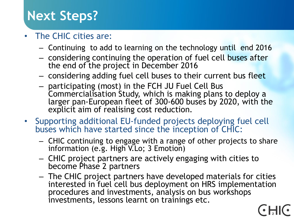### **Next Steps?**

### • The CHIC cities are:

- Continuing to add to learning on the technology until end 2016
- considering continuing the operation of fuel cell buses after the end of the project in December 2016
- considering adding fuel cell buses to their current bus fleet
- participating (most) in the FCH JU Fuel Cell Bus Commercialisation Study, which is making plans to deploy a larger pan-European fleet of 300-600 buses by 2020, with the explicit aim of realising cost reduction.
- Supporting additional EU-funded projects deploying fuel cell buses which have started since the inception of CHIC:
	- CHIC continuing to engage with a range of other projects to share information (e.g. High V.Lo; 3 Emotion)
	- CHIC project partners are actively engaging with cities to become Phase 2 partners
	- The CHIC project partners have developed materials for cities interested in fuel cell bus deployment on HRS implementation procedures and investments, analysis on bus workshops investments, lessons learnt on trainings etc.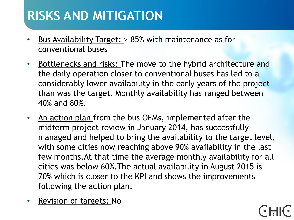### **RISKS AND MITIGATION**

- Bus Availability Target: > 85% with maintenance as for conventional buses
- Bottlenecks and risks: The move to the hybrid architecture and the daily operation closer to conventional buses has led to a considerably lower availability in the early years of the project than was the target. Monthly availability has ranged between 40% and 80%.
- An action plan from the bus OEMs, implemented after the midterm project review in January 2014, has successfully managed and helped to bring the availability to the target level, with some cities now reaching above 90% availability in the last few months.At that time the average monthly availability for all cities was below 60%.The actual availability in August 2015 is 70% which is closer to the KPI and shows the improvements following the action plan.
- Revision of targets: No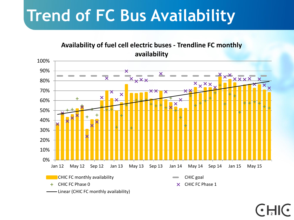# **Trend of FC Bus Availability**

#### **Availability of fuel cell electric buses - Trendline FC monthly availability**

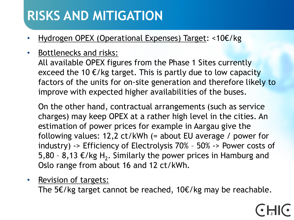### **RISKS AND MITIGATION**

- Hydrogen OPEX (Operational Expenses) Target: <10€/kg
- Bottlenecks and risks:

All available OPEX figures from the Phase 1 Sites currently exceed the 10  $E/kg$  target. This is partly due to low capacity factors of the units for on-site generation and therefore likely to improve with expected higher availabilities of the buses.

On the other hand, contractual arrangements (such as service charges) may keep OPEX at a rather high level in the cities. An estimation of power prices for example in Aargau give the following values: 12,2 ct/kWh (= about EU average / power for industry) -> Efficiency of Electrolysis 70% – 50% -> Power costs of 5,80 - 8,13 €/kg H<sub>2</sub>. Similarly the power prices in Hamburg and Oslo range from about 16 and 12 ct/kWh.

• Revision of targets:

The 5€/kg target cannot be reached, 10€/kg may be reachable.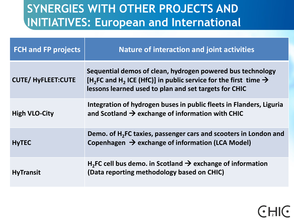### **SYNERGIES WITH OTHER PROJECTS AND INITIATIVES: European and International**

| <b>FCH and FP projects</b> | <b>Nature of interaction and joint activities</b>                                                                                                                                                                          |
|----------------------------|----------------------------------------------------------------------------------------------------------------------------------------------------------------------------------------------------------------------------|
| <b>CUTE/ HyFLEET:CUTE</b>  | Sequential demos of clean, hydrogen powered bus technology<br>[H <sub>2</sub> FC and H <sub>2</sub> ICE (HfC)] in public service for the first time $\rightarrow$<br>lessons learned used to plan and set targets for CHIC |
| <b>High VLO-City</b>       | Integration of hydrogen buses in public fleets in Flanders, Liguria<br>and Scotland $\rightarrow$ exchange of information with CHIC                                                                                        |
| <b>HyTEC</b>               | Demo. of H <sub>2</sub> FC taxies, passenger cars and scooters in London and<br>Copenhagen $\rightarrow$ exchange of information (LCA Model)                                                                               |
| <b>HyTransit</b>           | $H_2$ FC cell bus demo. in Scotland $\rightarrow$ exchange of information<br>(Data reporting methodology based on CHIC)                                                                                                    |

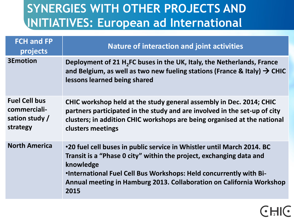### **SYNERGIES WITH OTHER PROJECTS AND INITIATIVES: European ad International**

| <b>FCH and FP</b><br>projects                                      | <b>Nature of interaction and joint activities</b>                                                                                                                                                                                                                                                                       |
|--------------------------------------------------------------------|-------------------------------------------------------------------------------------------------------------------------------------------------------------------------------------------------------------------------------------------------------------------------------------------------------------------------|
| <b>3Emotion</b>                                                    | Deployment of 21 H <sub>2</sub> FC buses in the UK, Italy, the Netherlands, France<br>and Belgium, as well as two new fueling stations (France & Italy) $\rightarrow$ CHIC<br>lessons learned being shared                                                                                                              |
| <b>Fuel Cell bus</b><br>commerciali-<br>sation study /<br>strategy | CHIC workshop held at the study general assembly in Dec. 2014; CHIC<br>partners participated in the study and are involved in the set-up of city<br>clusters; in addition CHIC workshops are being organised at the national<br>clusters meetings                                                                       |
| <b>North America</b>                                               | <b>.20 fuel cell buses in public service in Whistler until March 2014. BC</b><br>Transit is a "Phase 0 city" within the project, exchanging data and<br>knowledge<br>•International Fuel Cell Bus Workshops: Held concurrently with Bi-<br>Annual meeting in Hamburg 2013. Collaboration on California Workshop<br>2015 |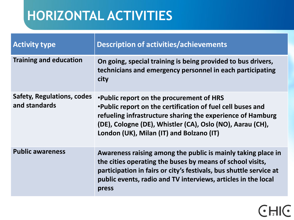# **HORIZONTAL ACTIVITIES**

| <b>Activity type</b>                        | <b>Description of activities/achievements</b>                                                                                                                                                                                                                                   |
|---------------------------------------------|---------------------------------------------------------------------------------------------------------------------------------------------------------------------------------------------------------------------------------------------------------------------------------|
| <b>Training and education</b>               | On going, special training is being provided to bus drivers,<br>technicians and emergency personnel in each participating<br>city                                                                                                                                               |
| Safety, Regulations, codes<br>and standards | . Public report on the procurement of HRS<br>. Public report on the certification of fuel cell buses and<br>refueling infrastructure sharing the experience of Hamburg<br>(DE), Cologne (DE), Whistler (CA), Oslo (NO), Aarau (CH),<br>London (UK), Milan (IT) and Bolzano (IT) |
| <b>Public awareness</b>                     | Awareness raising among the public is mainly taking place in<br>the cities operating the buses by means of school visits,<br>participation in fairs or city's festivals, bus shuttle service at<br>public events, radio and TV interviews, articles in the local<br>press       |

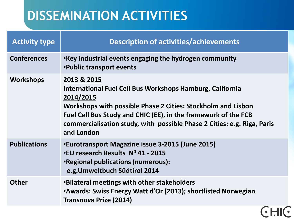# **DISSEMINATION ACTIVITIES**

| <b>Activity type</b> | <b>Description of activities/achievements</b>                                                                                                                                                                                                                                                                    |  |
|----------------------|------------------------------------------------------------------------------------------------------------------------------------------------------------------------------------------------------------------------------------------------------------------------------------------------------------------|--|
| <b>Conferences</b>   | •Key industrial events engaging the hydrogen community<br><b>.</b> Public transport events                                                                                                                                                                                                                       |  |
| <b>Workshops</b>     | 2013 & 2015<br>International Fuel Cell Bus Workshops Hamburg, California<br>2014/2015<br>Workshops with possible Phase 2 Cities: Stockholm and Lisbon<br>Fuel Cell Bus Study and CHIC (EE), in the framework of the FCB<br>commercialisation study, with possible Phase 2 Cities: e.g. Riga, Paris<br>and London |  |
| <b>Publications</b>  | •Eurotransport Magazine issue 3-2015 (June 2015)<br>.EU research Results Nº 41 - 2015<br><b>•Regional publications (numerous):</b><br>e.g. Umweltbuch Südtirol 2014                                                                                                                                              |  |
| <b>Other</b>         | •Bilateral meetings with other stakeholders<br><b>•Awards: Swiss Energy Watt d'Or (2013); shortlisted Norwegian</b><br><b>Transnova Prize (2014)</b>                                                                                                                                                             |  |
|                      |                                                                                                                                                                                                                                                                                                                  |  |

 $\bigodot$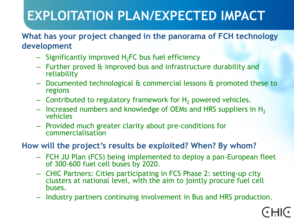# **EXPLOITATION PLAN/EXPECTED IMPACT**

#### **What has your project changed in the panorama of FCH technology development**

- $-$  Significantly improved H<sub>2</sub>FC bus fuel efficiency
- Further proved & improved bus and infrastructure durability and reliability
- Documented technological & commercial lessons & promoted these to regions
- Contributed to regulatory framework for  $H_2$  powered vehicles.
- $-$  Increased numbers and knowledge of OEMs and HRS suppliers in H<sub>2</sub> vehicles
- Provided much greater clarity about pre-conditions for commercialisation

#### **How will the project's results be exploited? When? By whom?**

- FCH JU Plan (FCS) being implemented to deploy a pan-European fleet of 300-600 fuel cell buses by 2020.
- CHIC Partners: Cities participating in FCS Phase 2: setting-up city clusters at national level, with the aim to jointly procure fuel cell buses.
- Industry partners continuing involvement in Bus and HRS production.